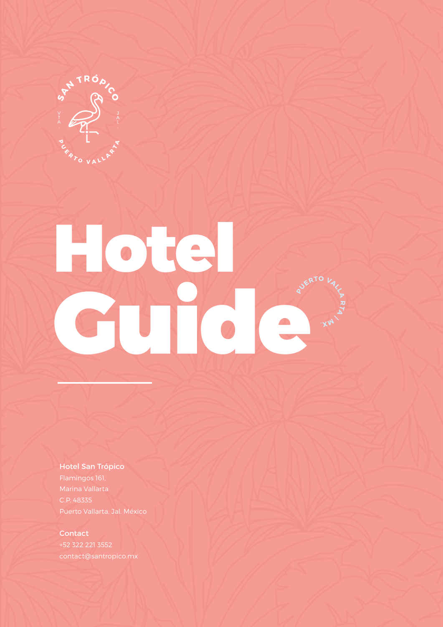

# Hotel **RTO** Guide

Hotel San Trópico Flamingos 161, Puerto Vallarta, Jal. México

#### Contact

+52 322 221 3552 contact@santropico.mx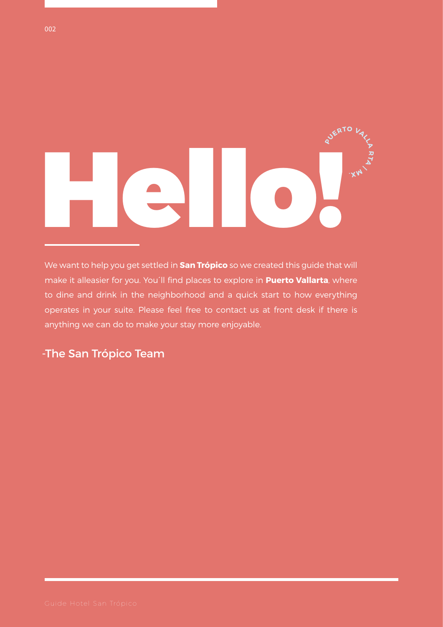

We want to help you get settled in **San Trópico** so we created this guide that will make it alleasier for you. You´ll find places to explore in **Puerto Vallarta**, where to dine and drink in the neighborhood and a quick start to how everything operates in your suite. Please feel free to contact us at front desk if there is anything we can do to make your stay more enjoyable.

#### -The San Trópico Team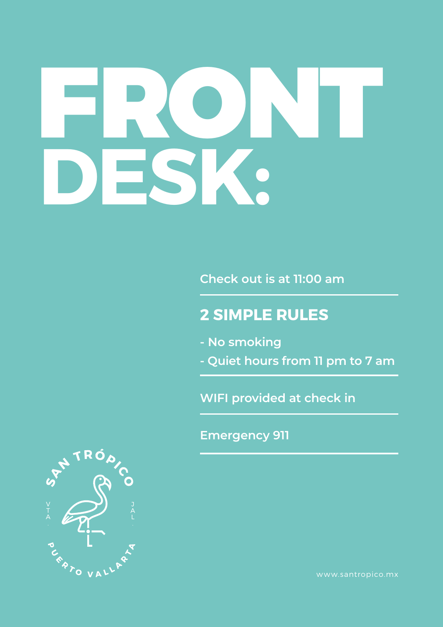# FRONT **DESK:**

**Check out is at 11:00 am**

# **2 SIMPLE RULES**

- **No smoking**
- **Quiet hours from 11 pm to 7 am**

**WIFI provided at check in**

**Emergency 911**



[www.santropico.mx](https://www.santropico.mx/es-es)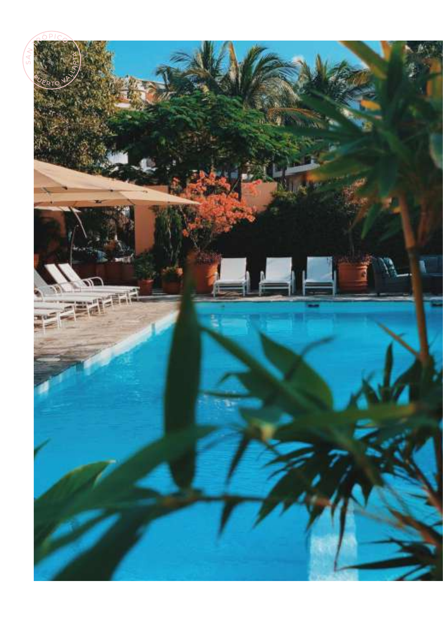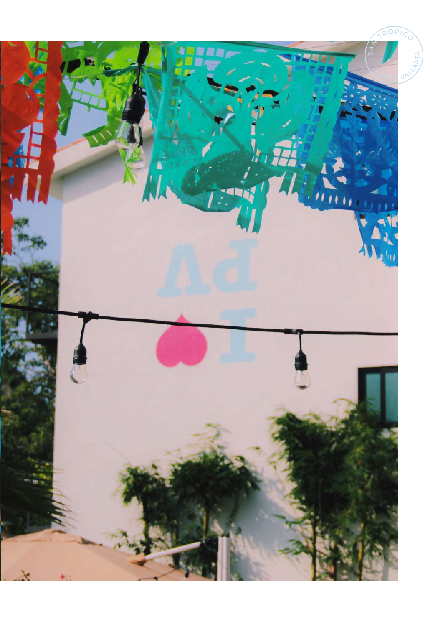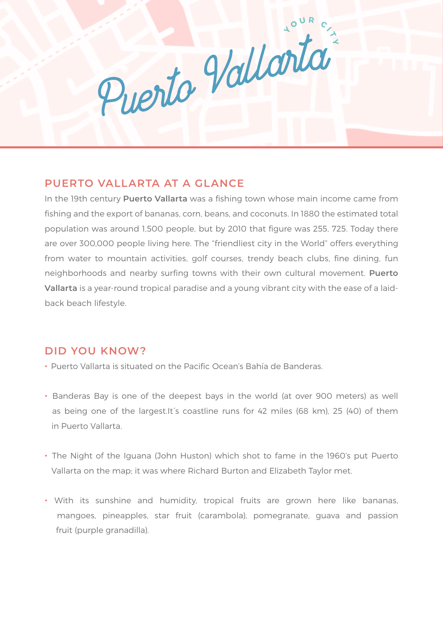

#### **PUERTO VALLARTA AT A GLANCE**

In the 19th century **Puerto Vallarta** was a fishing town whose main income came from fishing and the export of bananas, corn, beans, and coconuts. In 1880 the estimated total population was around 1,500 people, but by 2010 that figure was 255, 725. Today there are over 300,000 people living here. The "friendliest city in the World" offers everything from water to mountain activities, golf courses, trendy beach clubs, fine dining, fun neighborhoods and nearby surfing towns with their own cultural movement. **Puerto Vallarta** is a year-round tropical paradise and a young vibrant city with the ease of a laidback beach lifestyle.

#### **DID YOU KNOW?**

- Puerto Vallarta is situated on the Pacific Ocean's Bahía de Banderas.
- Banderas Bay is one of the deepest bays in the world (at over 900 meters) as well as being one of the largest.It´s coastline runs for 42 miles (68 km), 25 (40) of them in Puerto Vallarta.
- The Night of the Iguana (John Huston) which shot to fame in the 1960's put Puerto Vallarta on the map; it was where Richard Burton and Elizabeth Taylor met.
- **•** With its sunshine and humidity, tropical fruits are grown here like bananas, mangoes, pineapples, star fruit (carambola), pomegranate, guava and passion fruit (purple granadilla).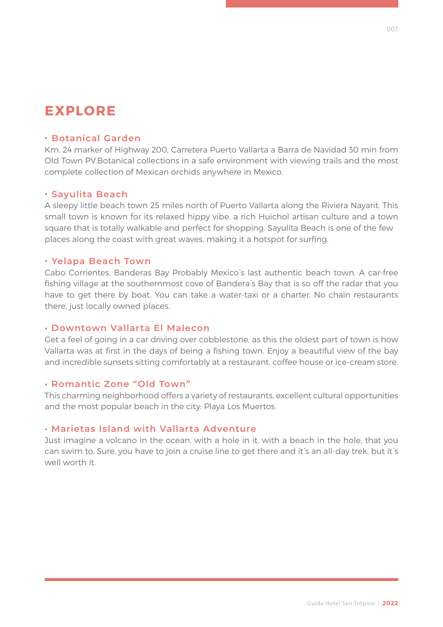### **EXPLORE**

#### **• Botanical Garden**

Km. 24 marker of Highway 200, Carretera Puerto Vallarta a Barra de Navidad 30 min from Old Town PV.Botanical collections in a safe environment with viewing trails and the most complete collection of Mexican orchids anywhere in Mexico.

#### **• Sayulita Beach**

A sleepy little beach town 25 miles north of Puerto Vallarta along the Riviera Nayarit. This small town is known for its relaxed hippy vibe, a rich Huichol artisan culture and a town square that is totally walkable and perfect for shopping. Sayulita Beach is one of the few places along the coast with great waves, making it a hotspot for surfing.

#### **• Yelapa Beach Town**

Cabo Corrientes, Banderas Bay Probably Mexico´s last authentic beach town. A car-free fishing village at the southernmost cove of Bandera´s Bay that is so off the radar that you have to get there by boat. You can take a water-taxi or a charter. No chain restaurants there, just locally owned places.

#### **• Downtown Vallarta El Malecon**

Get a feel of going in a car driving over cobblestone, as this the oldest part of town is how Vallarta was at first in the days of being a fishing town. Enjoy a beautiful view of the bay and incredible sunsets sitting comfortably at a restaurant, coffee house or ice-cream store.

#### **• Romantic Zone "Old Town"**

This charming neighborhood offers a variety of restaurants, excellent cultural opportunities and the most popular beach in the city: Playa Los Muertos.

#### **• Marietas Island with Vallarta Adventure**

Just imagine a volcano in the ocean, with a hole in it, with a beach in the hole, that you can swim to. Sure, you have to join a cruise line to get there and it´s an all-day trek, but it´s well worth it.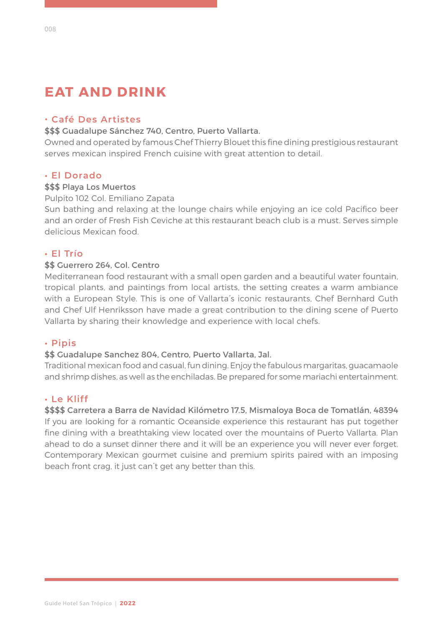# **EAT AND DRINK**

#### **• Café Des Artistes**

#### \$\$\$ Guadalupe Sánchez 740, Centro, Puerto Vallarta.

Owned and operated by famous Chef Thierry Blouet this fine dining prestigious restaurant serves mexican inspired French cuisine with great attention to detail.

#### **• El Dorado**

#### \$\$\$ Playa Los Muertos

#### Pulpito 102 Col. Emiliano Zapata

Sun bathing and relaxing at the lounge chairs while enjoying an ice cold Pacifico beer and an order of Fresh Fish Ceviche at this restaurant beach club is a must. Serves simple delicious Mexican food.

#### **• El Trío**

#### \$\$ Guerrero 264, Col. Centro

Mediterranean food restaurant with a small open garden and a beautiful water fountain, tropical plants, and paintings from local artists, the setting creates a warm ambiance with a European Style. This is one of Vallarta´s iconic restaurants, Chef Bernhard Guth and Chef Ulf Henriksson have made a great contribution to the dining scene of Puerto Vallarta by sharing their knowledge and experience with local chefs.

#### **• Pipis**

#### \$\$ Guadalupe Sanchez 804, Centro, Puerto Vallarta, Jal.

Traditional mexican food and casual, fun dining. Enjoy the fabulous margaritas, guacamaole and shrimp dishes, as well as the enchiladas. Be prepared for some mariachi entertainment.

#### **• Le Kliff**

\$\$\$\$ Carretera a Barra de Navidad Kilómetro 17.5, Mismaloya Boca de Tomatlán, 48394 If you are looking for a romantic Oceanside experience this restaurant has put together fine dining with a breathtaking view located over the mountains of Puerto Vallarta. Plan ahead to do a sunset dinner there and it will be an experience you will never ever forget. Contemporary Mexican gourmet cuisine and premium spirits paired with an imposing beach front crag, it just can´t get any better than this.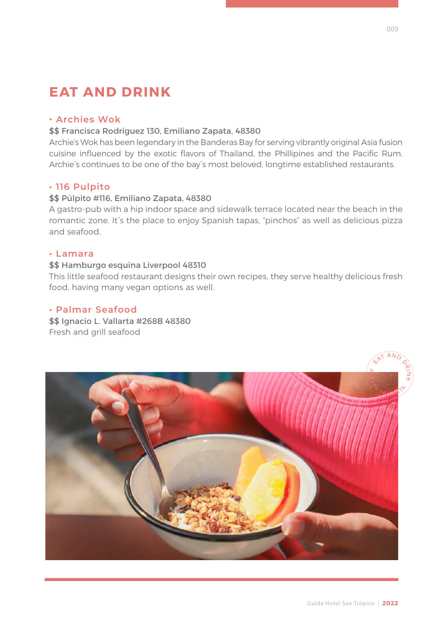# **EAT AND DRINK**

#### **• Archies Wok**

#### \$\$ Francisca Rodríguez 130, Emiliano Zapata, 48380

Archie's Wok has been legendary in the Banderas Bay for serving vibrantly original Asia fusion cuisine influenced by the exotic flavors of Thailand, the Phillipines and the Pacific Rum. Archie´s continues to be one of the bay´s most beloved, longtime established restaurants.

#### **• 116 Pulpito**

#### \$\$ Púlpito #116, Emiliano Zapata, 48380

A gastro-pub with a hip indoor space and sidewalk terrace located near the beach in the romantic zone. It´s the place to enjoy Spanish tapas, "pinchos" as well as delicious pizza and seafood.

#### **• Lamara**

#### \$\$ Hamburgo esquina Liverpool 48310

This little seafood restaurant designs their own recipes, they serve healthy delicious fresh food, having many vegan options as well.

#### **• Palmar Seafood**

\$\$ Ignacio L. Vallarta #268B 48380 Fresh and grill seafood

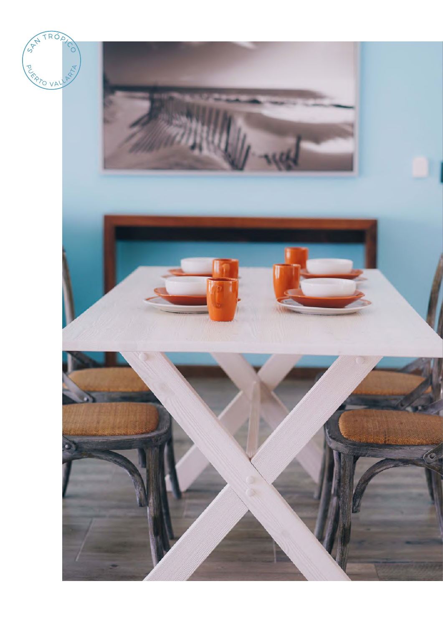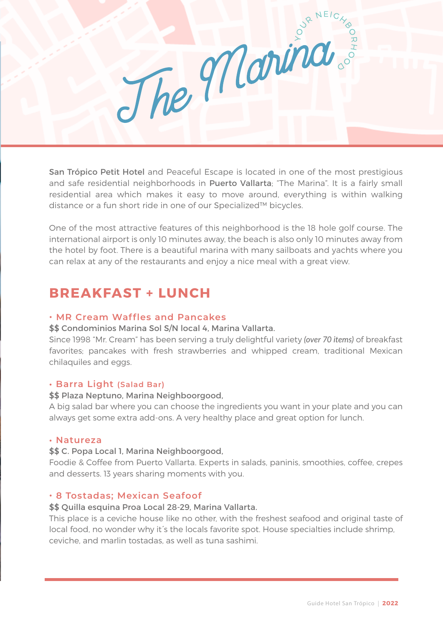

San Trópico Petit Hotel and Peaceful Escape is located in one of the most prestigious and safe residential neighborhoods in Puerto Vallarta; "The Marina". It is a fairly small residential area which makes it easy to move around, everything is within walking distance or a fun short ride in one of our Specialized™ bicycles.

One of the most attractive features of this neighborhood is the 18 hole golf course. The international airport is only 10 minutes away, the beach is also only 10 minutes away from the hotel by foot. There is a beautiful marina with many sailboats and yachts where you can relax at any of the restaurants and enjoy a nice meal with a great view.

### **BREAKFAST + LUNCH**

#### **• MR Cream Waffles and Pancakes**

#### \$\$ Condominios Marina Sol S/N local 4, Marina Vallarta.

Since 1998 "Mr. Cream" has been serving a truly delightful variety *(over 70 items)* of breakfast favorites; pancakes with fresh strawberries and whipped cream, traditional Mexican chilaquiles and eggs.

#### **• Barra Light (Salad Bar)**

#### \$\$ Plaza Neptuno, Marina Neighboorgood,

A big salad bar where you can choose the ingredients you want in your plate and you can always get some extra add-ons. A very healthy place and great option for lunch.

#### **• Natureza**

#### \$\$ C. Popa Local 1, Marina Neighboorgood,

Foodie & Coffee from Puerto Vallarta. Experts in salads, paninis, smoothies, coffee, crepes and desserts. 13 years sharing moments with you.

#### **• 8 Tostadas; Mexican Seafoof**

#### \$\$ Quilla esquina Proa Local 28-29, Marina Vallarta.

This place is a ceviche house like no other, with the freshest seafood and original taste of local food, no wonder why it´s the locals favorite spot. House specialties include shrimp, ceviche, and marlin tostadas, as well as tuna sashimi.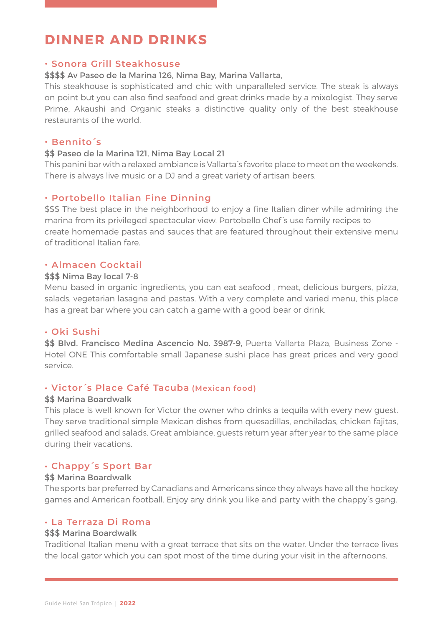## **DINNER AND DRINKS**

#### **• Sonora Grill Steakhosuse**

#### \$\$\$\$ Av Paseo de la Marina 126, Nima Bay, Marina Vallarta,

This steakhouse is sophisticated and chic with unparalleled service. The steak is always on point but you can also find seafood and great drinks made by a mixologist. They serve Prime, Akaushi and Organic steaks a distinctive quality only of the best steakhouse restaurants of the world.

#### **• Bennito´s**

#### \$\$ Paseo de la Marina 121, Nima Bay Local 21

This panini bar with a relaxed ambiance is Vallarta´s favorite place to meet on the weekends. There is always live music or a DJ and a great variety of artisan beers.

#### **• Portobello Italian Fine Dinning**

\$\$\$ The best place in the neighborhood to enjoy a fine Italian diner while admiring the marina from its privileged spectacular view. Portobello Chef´s use family recipes to create homemade pastas and sauces that are featured throughout their extensive menu of traditional Italian fare.

#### **• Almacen Cocktail**

#### \$\$\$ Nima Bay local 7-8

Menu based in organic ingredients, you can eat seafood , meat, delicious burgers, pizza, salads, vegetarian lasagna and pastas. With a very complete and varied menu, this place has a great bar where you can catch a game with a good bear or drink.

#### **• Oki Sushi**

\$\$ Blvd. Francisco Medina Ascencio No. 3987-9, Puerta Vallarta Plaza, Business Zone - Hotel ONE This comfortable small Japanese sushi place has great prices and very good service.

#### **• Victor´s Place Café Tacuba (Mexican food)**

#### \$\$ Marina Boardwalk

This place is well known for Victor the owner who drinks a tequila with every new guest. They serve traditional simple Mexican dishes from quesadillas, enchiladas, chicken fajitas, grilled seafood and salads. Great ambiance, guests return year after year to the same place during their vacations.

#### **• Chappy´s Sport Bar**

#### \$\$ Marina Boardwalk

The sports bar preferred by Canadians and Americans since they always have all the hockey games and American football. Enjoy any drink you like and party with the chappy´s gang.

#### **• La Terraza Di Roma**

#### \$\$\$ Marina Boardwalk

Traditional Italian menu with a great terrace that sits on the water. Under the terrace lives the local gator which you can spot most of the time during your visit in the afternoons.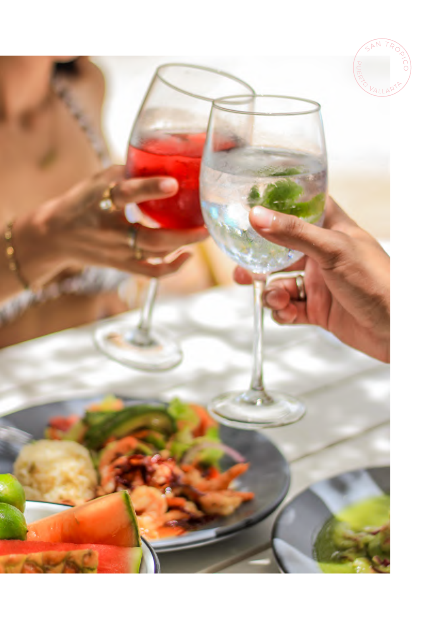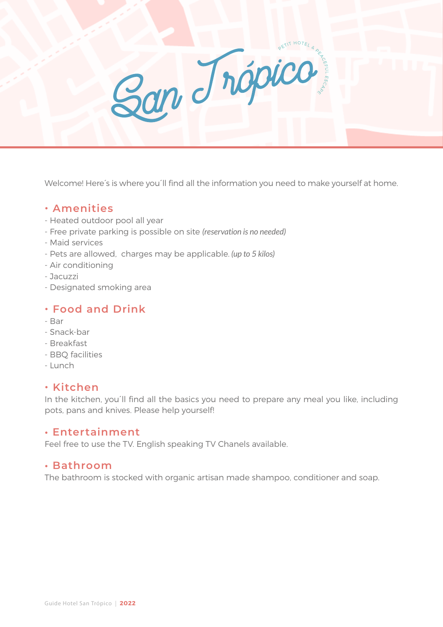

Welcome! Here's is where you'll find all the information you need to make yourself at home.

#### **• Amenities**

- Heated outdoor pool all year
- Free private parking is possible on site *(reservation is no needed)*
- Maid services
- Pets are allowed, charges may be applicable. *(up to 5 kilos)*
- Air conditioning
- Jacuzzi
- Designated smoking area

#### **• Food and Drink**

- Bar
- Snack-bar
- Breakfast
- BBQ facilities
- Lunch

#### **• Kitchen**

In the kitchen, you´ll find all the basics you need to prepare any meal you like, including pots, pans and knives. Please help yourself!

#### **• Entertainment**

Feel free to use the TV. English speaking TV Chanels available.

#### **• Bathroom**

The bathroom is stocked with organic artisan made shampoo, conditioner and soap.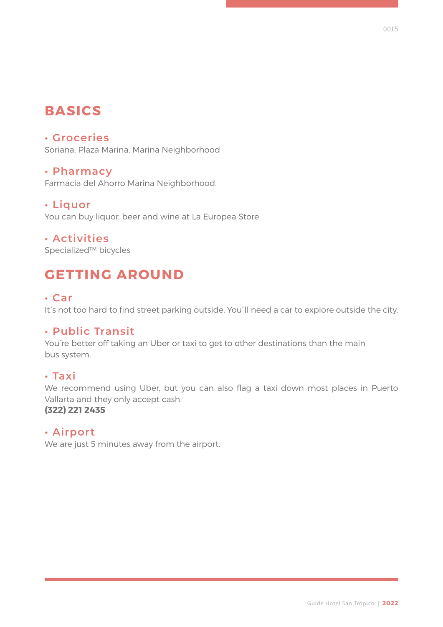# **BASICS**

#### **• Groceries**

Soriana, Plaza Marina, Marina Neighborhood

#### **• Pharmacy**

Farmacia del Ahorro Marina Neighborhood.

#### **• Liquor**

You can buy liquor, beer and wine at La Europea Store

**• Activities** Specialized™ bicycles

# **GETTING AROUND**

#### **• Car**

It´s not too hard to find street parking outside. You´ll need a car to explore outside the city.

#### **• Public Transit**

You´re better off taking an Uber or taxi to get to other destinations than the main bus system.

#### **• Taxi**

We recommend using Uber, but you can also flag a taxi down most places in Puerto Vallarta and they only accept cash.

#### **(322) 221 2435**

#### **• Airport**

We are just 5 minutes away from the airport.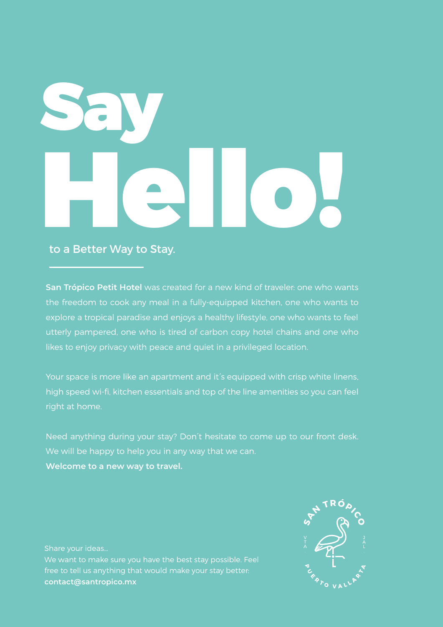# to a Better Way to Stay. Say

to a Better Way to Stay.

**San Trópico Petit Hotel** was created for a new kind of traveler: one who wants the freedom to cook any meal in a fully-equipped kitchen, one who wants to explore a tropical paradise and enjoys a healthy lifestyle, one who wants to feel utterly pampered, one who is tired of carbon copy hotel chains and one who likes to enjoy privacy with peace and quiet in a privileged location.

Your space is more like an apartment and it´s equipped with crisp white linens, high speed wi-fi, kitchen essentials and top of the line amenities so you can feel right at home.

Need anything during your stay? Don´t hesitate to come up to our front desk. We will be happy to help you in any way that we can. **Welcome to a new way to travel.**

Share your ideas… We want to make sure you have the best stay possible. Feel free to tell us anything that would make your stay better: **contact@santropico.mx**

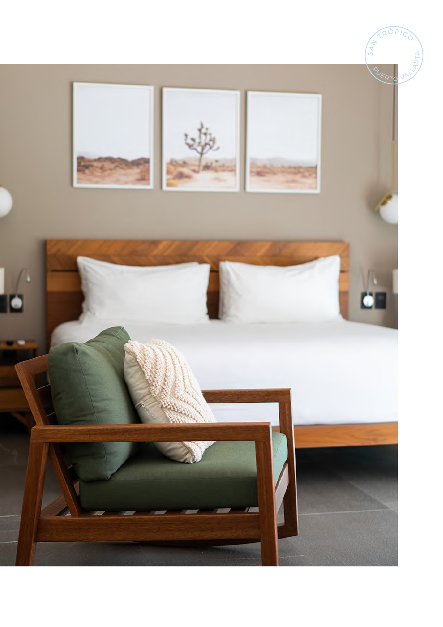